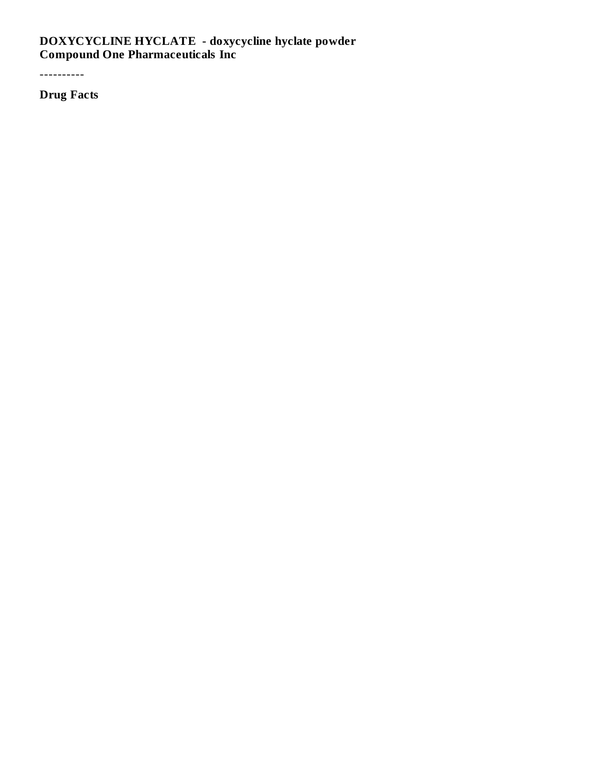#### **DOXYCYCLINE HYCLATE - doxycycline hyclate powder Compound One Pharmaceuticals Inc**

----------

**Drug Facts**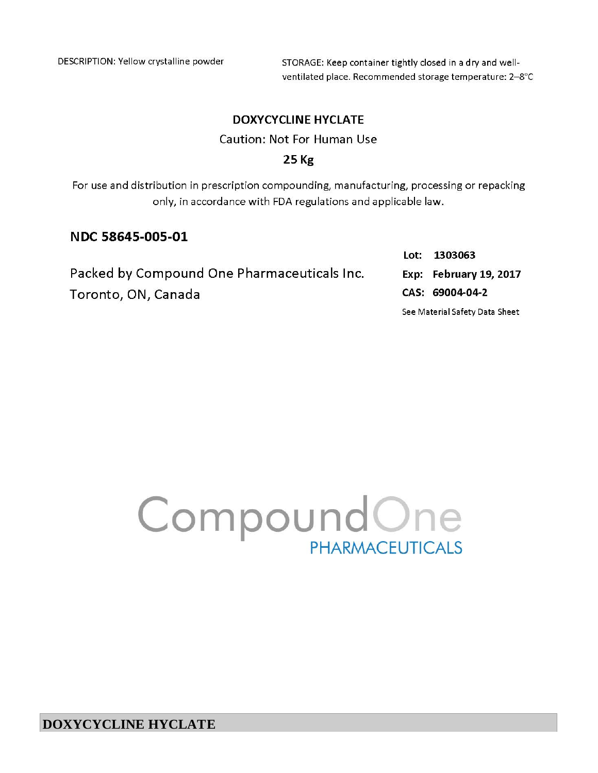DESCRIPTION: Yellow crystalline powder

STORAGE: Keep container tightly closed in a dry and wellventilated place. Recommended storage temperature: 2-8°C

### **DOXYCYCLINE HYCLATE**

Caution: Not For Human Use

#### $25$  Kg

For use and distribution in prescription compounding, manufacturing, processing or repacking only, in accordance with FDA regulations and applicable law.

## NDC 58645-005-01

|                                             |  | Lot: 1303063                   |  |  |
|---------------------------------------------|--|--------------------------------|--|--|
| Packed by Compound One Pharmaceuticals Inc. |  | Exp: February 19, 2017         |  |  |
| Toronto, ON, Canada                         |  | CAS: 69004-04-2                |  |  |
|                                             |  | See Material Safety Data Sheet |  |  |